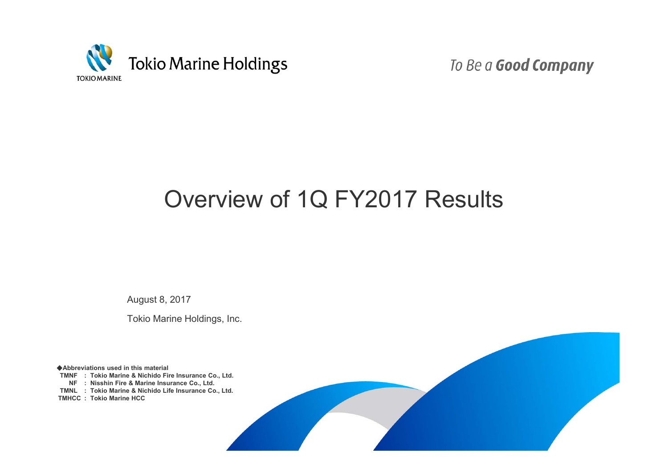

To Be a Good Company

# Overview of 1Q FY2017 Results

August 8, 2017

Tokio Marine Holdings, Inc.

◆**Abbreviations used in this material TMNF : Tokio Marine & Nichido Fire Insurance Co., Ltd. NF : Nisshin Fire & Marine Insurance Co., Ltd. TMNL : Tokio Marine & Nichido Life Insurance Co., Ltd. TMHCC : Tokio Marine HCC**

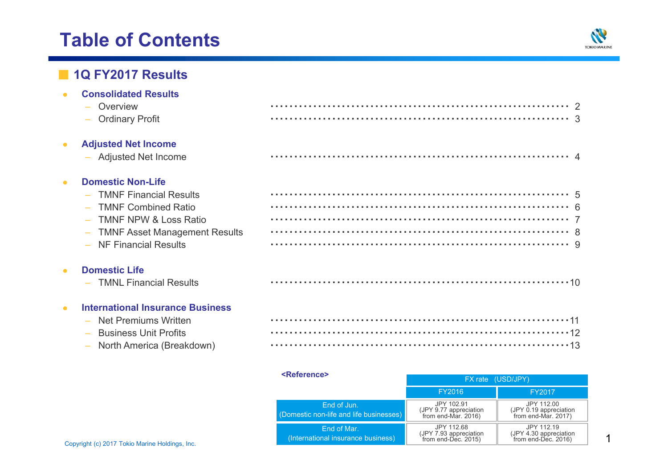# **Table of Contents**



### ■ **1Q FY2017 Results**

**Consolidated Results**

 $\sim$ 

|           | Overview<br>$\overline{\phantom{a}}$<br>- Ordinary Profit                                                                                                                              |  |
|-----------|----------------------------------------------------------------------------------------------------------------------------------------------------------------------------------------|--|
| $\bullet$ | <b>Adjusted Net Income</b><br>- Adjusted Net Income                                                                                                                                    |  |
| $\bullet$ | <b>Domestic Non-Life</b><br><b>TMNF Financial Results</b><br><b>TMNF Combined Ratio</b><br><b>TMNF NPW &amp; Loss Ratio</b><br>- TMNF Asset Management Results<br>NF Financial Results |  |
|           | <b>Domestic Life</b><br>- TMNL Financial Results                                                                                                                                       |  |

#### $\bullet$ **International Insurance Business**

- 
- –**Business Unit Profits**
- 

| - Net Premiums Written      |  |
|-----------------------------|--|
| – Business Unit Profits     |  |
| - North America (Breakdown) |  |

|                                                | <reference></reference>                                | FX rate (USD/JPY)                                            |                                                               |  |
|------------------------------------------------|--------------------------------------------------------|--------------------------------------------------------------|---------------------------------------------------------------|--|
|                                                |                                                        | FY2016                                                       | FY2017                                                        |  |
|                                                | End of Jun.<br>(Domestic non-life and life businesses) | JPY 102.91<br>(JPY 9.77 appreciation<br>`from end-Mar. 2016) | JPY 112.00<br>(JPY 0.19 appreciation<br>`from end-Mar. 2017). |  |
| Copyright (c) 2017 Tokio Marine Holdings, Inc. | End of Mar.<br>(International insurance business)      | JPY 112.68<br>(JPY 7.93 appreciation<br>`from end-Dec. 2015) | JPY 112.19<br>(JPY 4.30 appreciation<br>from end-Dec. 2016)   |  |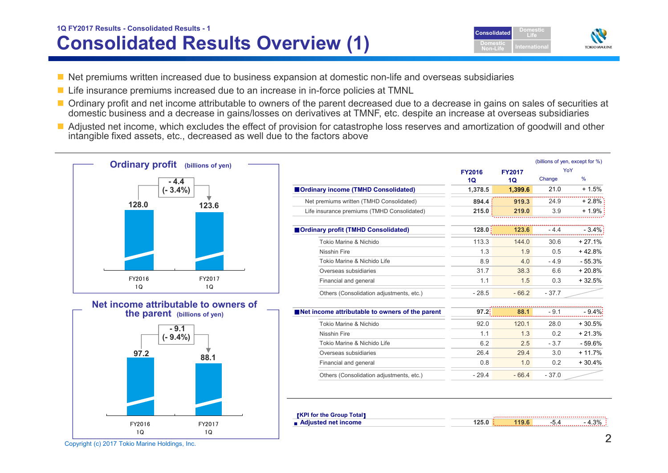## **Consolidated Results Overview (1) 1Q FY2017 Results - Consolidated Results - <sup>1</sup> Consolidated**



- Net premiums written increased due to business expansion at domestic non-life and overseas subsidiaries
- Life insurance premiums increased due to an increase in in-force policies at TMNL
- Ordinary profit and net income attributable to owners of the parent decreased due to a decrease in gains on sales of securities at domestic business and a decrease in gains/losses on derivatives at TMNF, etc. despite an increase at overseas subsidiaries
- Adjusted net income, which excludes the effect of provision for catastrophe loss reserves and amortization of goodwill and other intangible fixed assets, etc., decreased as well due to the factors above



Copyright (c) 2017 Tokio Marine Holdings, Inc. 2018 2017 Tokio Marine Holdings, Inc.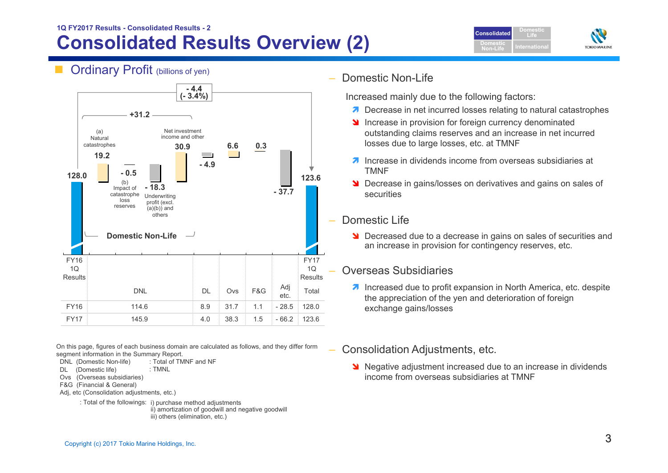### **Consolidated Results Overview (2) 1Q FY2017 Results - Consolidated Results - 2**





Ordinary Profit (billions of yen)



**- 4.4**

On this page, figures of each business domain are calculated as follows, and they differ form segment information in the Summary Report.

- DNL (Domestic Non-life) : Total of TMNF and NF : TMNL
- DL (Domestic life)
- Ovs (Overseas subsidiaries)
- F&G (Financial & General)
- Adj, etc (Consolidation adjustments, etc.)
	- : Total of the followings: i) purchase method adjustments ii) amortization of goodwill and negative goodwill iii) others (elimination, etc.)

#### Domestic Non-Life

Increased mainly due to the following factors:

- **7** Decrease in net incurred losses relating to natural catastrophes
- Increase in provision for foreign currency denominated outstanding claims reserves and an increase in net incurred losses due to large losses, etc. at TMNF
- 7 Increase In dividends income from overseas subsidies at TMNF
- **N** Decrease in gains/losses on derivatives and gains on sales of securities

#### Domestic Life

**N** Decreased due to a decrease in gains on sales of securities and an increase in provision for contingency reserves, etc.

#### Overseas Subsidiaries

- **7** Increased due to profit expansion in North America, etc. despite the appreciation of the yen and deterioration of foreign exchange gains/losses
- Consolidation Adjustments, etc.
	- Negative adjustment increased due to an increase in dividends income from overseas subsidiaries at TMNF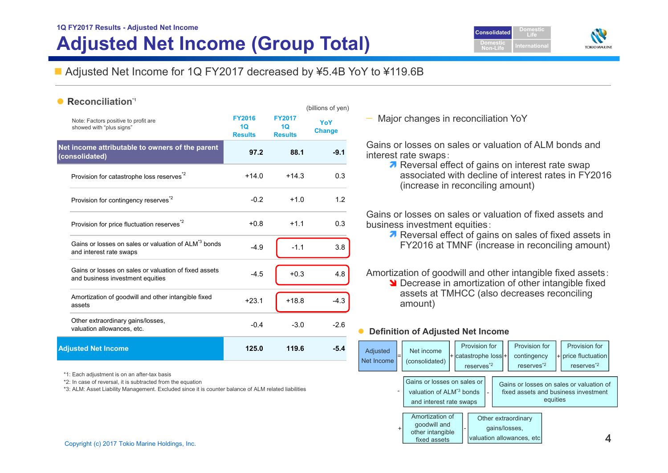# **1Q FY2017 Results - Adjusted Net Income Adjusted Net Income (Group Total)**





### ■ Adjusted Net Income for 1Q FY2017 decreased by ¥5.4B YoY to ¥119.6B

(billions of yen)

#### •**Reconciliation\*1**

|                                                                                             |                                       |                                                    | ן יישן ישנייטווישן   |  |
|---------------------------------------------------------------------------------------------|---------------------------------------|----------------------------------------------------|----------------------|--|
| Note: Factors positive to profit are<br>showed with "plus signs"                            | <b>FY2016</b><br>10<br><b>Results</b> | <b>FY2017</b><br>10 <sup>°</sup><br><b>Results</b> | YoY<br><b>Change</b> |  |
| Net income attributable to owners of the parent<br>(consolidated)                           | 97.2                                  | 88.1                                               | $-9.1$               |  |
| Provision for catastrophe loss reserves <sup>*2</sup>                                       | $+14.0$                               | $+14.3$                                            | 0.3                  |  |
| Provision for contingency reserves <sup>*2</sup>                                            | $-0.2$                                | $+1.0$                                             | 1.2                  |  |
| Provision for price fluctuation reserves <sup>2</sup>                                       | $+0.8$                                | $+1.1$                                             | 0.3                  |  |
| Gains or losses on sales or valuation of ALM <sup>*3</sup> bonds<br>and interest rate swaps | $-4.9$                                | $-1.1$                                             | 3.8                  |  |
| Gains or losses on sales or valuation of fixed assets<br>and business investment equities   | $-4.5$                                | $+0.3$                                             | 4.8                  |  |
| Amortization of goodwill and other intangible fixed<br>assets                               | $+23.1$                               | $+18.8$                                            | $-4.3$               |  |
| Other extraordinary gains/losses,<br>valuation allowances, etc.                             | $-0.4$                                | $-3.0$                                             | $-2.6$               |  |
| <b>Adjusted Net Income</b>                                                                  | 125.0                                 | 119.6                                              | $-5.4$               |  |

\*1: Each adjustment is on an after-tax basis

\*2: In case of reversal, it is subtracted from the equation

\*3: ALM: Asset Liability Management. Excluded since it is counter balance of ALM related liabilities

— Major changes in reconciliation YoY

Gains or losses on sales or valuation of ALM bonds and interest rate swaps:

7 Reversal effect of gains on interest rate swap associated with decline of interest rates in FY2016 (increase in reconciling amount)

Gains or losses on sales or valuation of fixed assets and business investment equities:

**7** Reversal effect of gains on sales of fixed assets in FY2016 at TMNF (increase in reconciling amount)

Amortization of goodwill and other intangible fixed assets:

**N** Decrease in amortization of other intangible fixed assets at TMHCC (also decreases reconciling amount)

#### $\bullet$ **Definition of Adjusted Net Income**

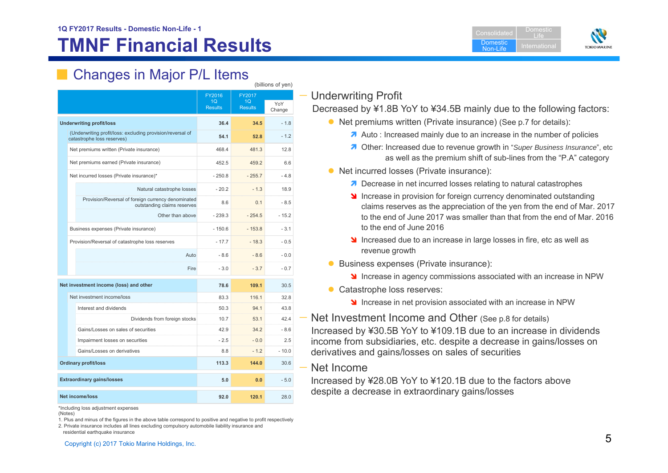# **TMNF Financial Results**





# Changes in Major P/L Items

|                                                                                          | FY2016                           | FY2017                           |               |  |
|------------------------------------------------------------------------------------------|----------------------------------|----------------------------------|---------------|--|
|                                                                                          | 1 <sub>O</sub><br><b>Results</b> | 1 <sub>O</sub><br><b>Results</b> | YoY<br>Change |  |
| <b>Underwriting profit/loss</b>                                                          | 36.4                             | 34.5                             | $-1.8$        |  |
| (Underwriting profit/loss: excluding provision/reversal of<br>catastrophe loss reserves) | 54.1                             | 52.8                             | $-1.2$        |  |
| Net premiums written (Private insurance)                                                 | 468.4                            | 481.3                            | 12.8          |  |
| Net premiums earned (Private insurance)                                                  | 452.5                            | 459.2                            | 6.6           |  |
| Net incurred losses (Private insurance)*                                                 | $-250.8$                         | $-255.7$                         | $-4.8$        |  |
| Natural catastrophe losses                                                               | $-20.2$                          | $-1.3$                           | 18.9          |  |
| Provision/Reversal of foreign currency denominated<br>outstanding claims reserves        | 8.6                              | 0.1                              | $-8.5$        |  |
| Other than above                                                                         | $-239.3$                         | $-254.5$                         | $-15.2$       |  |
| Business expenses (Private insurance)                                                    | $-150.6$                         | $-153.8$                         | $-3.1$        |  |
| Provision/Reversal of catastrophe loss reserves                                          | $-17.7$                          | $-18.3$                          | $-0.5$        |  |
| Auto                                                                                     | $-8.6$                           | $-8.6$                           | $-0.0$        |  |
| Fire                                                                                     | $-3.0$                           | $-3.7$                           | $-0.7$        |  |
| Net investment income (loss) and other                                                   | 78.6                             | 109.1                            | 30.5          |  |
| Net investment income/loss                                                               | 83.3                             | 116.1                            | 32.8          |  |
| Interest and dividends                                                                   | 50.3                             | 94.1                             | 43.8          |  |
| Dividends from foreign stocks                                                            | 10.7                             | 53.1                             | 42.4          |  |
| Gains/Losses on sales of securities                                                      | 42.9                             | 34.2                             | -86           |  |
| Impairment losses on securities                                                          | $-2.5$                           | $-0.0$                           | 2.5           |  |
| Gains/Losses on derivatives                                                              | 8.8                              | $-1.2$                           | $-10.0$       |  |
| <b>Ordinary profit/loss</b>                                                              | 113.3                            | 144.0                            | 30.6          |  |
| <b>Extraordinary gains/losses</b>                                                        | 5.0                              | 0.0                              | $-5.0$        |  |
| <b>Net income/loss</b>                                                                   | 92.0                             | 120.1                            | 28.0          |  |

\*Including loss adjustment expenses

(Notes)

1. Plus and minus of the figures in the above table correspond to positive and negative to profit respectively

#### — Underwriting Profit

(billions of yen)

Decreased by ¥1.8B YoY to ¥34.5B mainly due to the following factors:

- Net premiums written (Private insurance) (See p.7 for details):
	- A Auto : Increased mainly due to an increase in the number of policies
	- **7** Other: Increased due to revenue growth in "Super Business Insurance", etc as well as the premium shift of sub-lines from the "P.A" category
- Net incurred losses (Private insurance):
	- **7** Decrease in net incurred losses relating to natural catastrophes
	- **If** Increase in provision for foreign currency denominated outstanding claims reserves as the appreciation of the yen from the end of Mar. 2017 to the end of June 2017 was smaller than that from the end of Mar. 2016 to the end of June 2016
	- Increased due to an increase in large losses in fire, etc as well as revenue growth
- **Business expenses (Private insurance):** 
	- **Increase in agency commissions associated with an increase in NPW**
- Catastrophe loss reserves:
	- Increase in net provision associated with an increase in NPW

# — Net Investment Income and Other (See p.8 for details)

Increased by ¥30.5B YoY to ¥109.1B due to an increase in dividends income from subsidiaries, etc. despite a decrease in gains/losses on derivatives and gains/losses on sales of securities

#### Net Income

Increased by ¥28.0B YoY to ¥120.1B due to the factors above despite a decrease in extraordinary gains/losses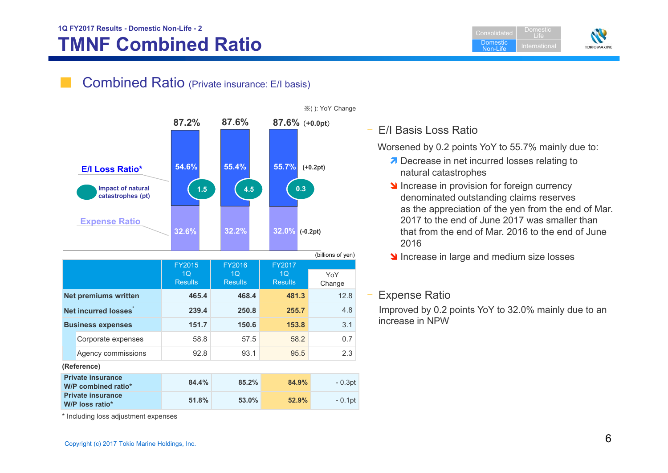## **1Q FY2017 Results - Domestic Non-Life - 2 TMNF Combined Ratio**

**Consolidated Domestic**  Non-LifeDomestic Life



### Combined Ratio (Private insurance: E/I basis)



※( ): YoY Change

### – E/I Basis Loss Ratio

Worsened by 0.2 points YoY to 55.7% mainly due to:

- Decrease in net incurred losses relating to natural catastrophes
- Increase in provision for foreign currency denominated outstanding claims reserves as the appreciation of the yen from the end of Mar. 2017 to the end of June 2017 was smaller than that from the end of Mar. 2016 to the end of June 2016
- Increase in large and medium size losses

#### Expense Ratio

Improved by 0.2 points YoY to 32.0% mainly due to an increase in NPW

\* Including loss adjustment expenses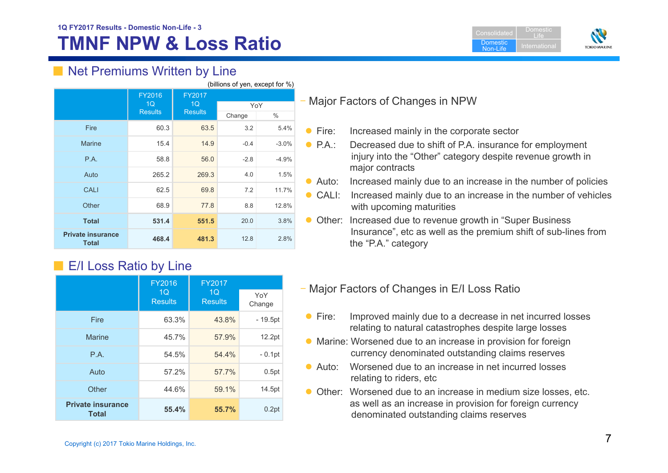# **1Q FY2017 Results - Domestic Non-Life - 3**

# **TMNF NPW & Loss Ratio**

| Consolidated                | Domestic<br>l Ite |
|-----------------------------|-------------------|
| <b>Domestic</b><br>Non-Life | International     |



## ■ Net Premiums Written by Line

| (billions of yen, except for %)          |                                       |                                |        |         |
|------------------------------------------|---------------------------------------|--------------------------------|--------|---------|
|                                          | <b>FY2016</b><br>1Q<br><b>Results</b> | FY2017<br>1Q<br><b>Results</b> | YoY    |         |
|                                          |                                       |                                | Change | $\%$    |
| <b>Fire</b>                              | 60.3                                  | 63.5                           | 3.2    | 5.4%    |
| <b>Marine</b>                            | 15.4                                  | 14.9                           | $-0.4$ | $-3.0%$ |
| P.A.                                     | 58.8                                  | 56.0                           | $-2.8$ | $-4.9%$ |
| Auto                                     | 265.2                                 | 269.3                          | 4.0    | 1.5%    |
| <b>CALI</b>                              | 62.5                                  | 69.8                           | 7.2    | 11.7%   |
| Other                                    | 68.9                                  | 77.8                           | 8.8    | 12.8%   |
| <b>Total</b>                             | 531.4                                 | 551.5                          | 20.0   | 3.8%    |
| <b>Private insurance</b><br><b>Total</b> | 468.4                                 | 481.3                          | 12.8   | 2.8%    |

# ■ E/I Loss Ratio by Line

|                                          | FY2016                           | <b>FY2017</b>                    |               |
|------------------------------------------|----------------------------------|----------------------------------|---------------|
|                                          | 1 <sub>O</sub><br><b>Results</b> | 1 <sub>O</sub><br><b>Results</b> | YoY<br>Change |
| Fire                                     | 63.3%                            | 43.8%                            | $-19.5pt$     |
| <b>Marine</b>                            | 45.7%                            | 57.9%                            | 12.2pt        |
| P.A.                                     | 54.5%                            | 54.4%                            | $-0.1$ pt     |
| Auto                                     | 57.2%                            | 57.7%                            | 0.5pt         |
| Other                                    | 44.6%                            | 59.1%                            | 14.5pt        |
| <b>Private insurance</b><br><b>Total</b> | 55.4%                            | 55.7%                            | 0.2pt         |

### Major Factors of Changes in NPW

- $\blacktriangleright$  Fire: Increased mainly in the corporate sector
- $P.A.:$ Decreased due to shift of P.A. insurance for employment injury into the "Other" category despite revenue growth in major contracts
- Auto: Increased mainly due to an increase in the number of policies
- CALI: Increased mainly due to an increase in the number of vehicles with upcoming maturities
- Other: Increased due to revenue growth in "Super Business" Insurance", etc as well as the premium shift of sub-lines from the "P.A." category
- Major Factors of Changes in E/I Loss Ratio
- $\bullet$  Fire: Improved mainly due to a decrease in net incurred losses relating to natural catastrophes despite large losses
- Marine: Worsened due to an increase in provision for foreign currency denominated outstanding claims reserves
- Auto: Worsened due to an increase in net incurred losses relating to riders, etc
- **O** Other: Worsened due to an increase in medium size losses, etc. as well as an increase in provision for foreign currency denominated outstanding claims reserves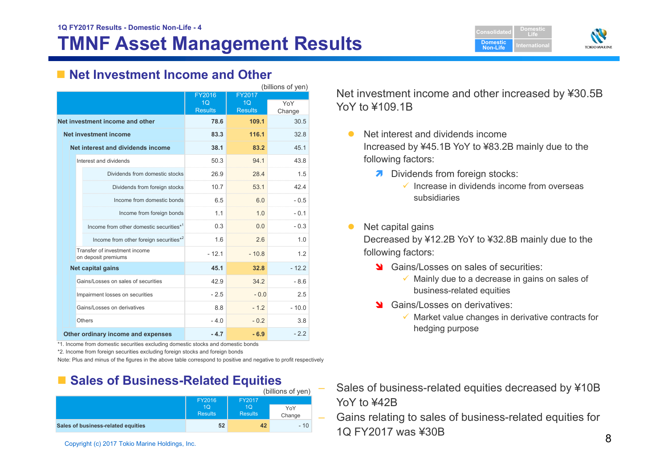



#### ■ Net Investment Income and Other

|                                                      | (billions of yen)        |                                 |               |  |
|------------------------------------------------------|--------------------------|---------------------------------|---------------|--|
|                                                      | FY2016<br>1 <sub>O</sub> | <b>FY2017</b><br>1 <sub>O</sub> |               |  |
|                                                      | <b>Results</b>           | <b>Results</b>                  | YoY<br>Change |  |
| Net investment income and other                      | 78.6                     | 109.1                           | 30.5          |  |
| <b>Net investment income</b>                         | 83.3                     | 116.1                           | 32.8          |  |
| Net interest and dividends income                    | 38.1                     | 83.2                            | 45.1          |  |
| Interest and dividends                               | 50.3                     | 94.1                            | 43.8          |  |
| Dividends from domestic stocks                       | 26.9                     | 28.4                            | 1.5           |  |
| Dividends from foreign stocks                        | 10.7                     | 53.1                            | 42.4          |  |
| Income from domestic bonds                           | 6.5                      | 6.0                             | $-0.5$        |  |
| Income from foreign bonds                            | 1.1                      | 1.0                             | $-0.1$        |  |
| Income from other domestic securities*1              | 0.3                      | 0.0                             | $-0.3$        |  |
| Income from other foreign securities*2               | 1.6                      | 2.6                             | 1.0           |  |
| Transfer of investment income<br>on deposit premiums | $-12.1$                  | $-10.8$                         | 12            |  |
| Net capital gains                                    | 45.1                     | 32.8                            | $-12.2$       |  |
| Gains/Losses on sales of securities                  | 42.9                     | 342                             | $-8.6$        |  |
| Impairment losses on securities                      | $-2.5$                   | $-0.0$                          | 2.5           |  |
| Gains/Losses on derivatives                          | 88                       | $-12$                           | $-10.0$       |  |
| Others                                               | $-4.0$                   | $-0.2$                          | 3.8           |  |
| Other ordinary income and expenses                   | $-4.7$                   | $-6.9$                          | $-2.2$        |  |

\*1. Income from domestic securities excluding domestic stocks and domestic bonds

\*2. Income from foreign securities excluding foreign stocks and foreign bonds

Note: Plus and minus of the figures in the above table correspond to positive and negative to profit respectively

## ■ Sales of Business-Related Equities

|                                    |                                  |                      | (billions of yen) |  |
|------------------------------------|----------------------------------|----------------------|-------------------|--|
|                                    | FY2016                           |                      |                   |  |
|                                    | 1 <sub>O</sub><br><b>Results</b> | 10<br><b>Results</b> | YoY<br>Change     |  |
| Sales of business-related equities | 52                               | 42                   | $-10$             |  |

 Net investment income and other increased by ¥30.5B YoY to ¥109.1B

- $\bullet$  Net interest and dividends income Increased by ¥45.1B YoY to ¥83.2B mainly due to the following factors:
	- **7** Dividends from foreign stocks:
		- $\checkmark$  Increase in dividends income from overseas subsidiaries
- $\bullet$ Net capital gains

Decreased by ¥12.2B YoY to ¥32.8B mainly due to the following factors:

- State Gains/Losses on sales of securities:
	- $\checkmark$  Mainly due to a decrease in gains on sales of business-related equities
- Stains/Losses on derivatives:
	- $\checkmark$  Market value changes in derivative contracts for hedging purpose

 Sales of business-related equities decreased by ¥10B YoY to ¥42B

Copyright (c) 2017 Tokio Marine Holdings, Inc. 8 Gains relating to sales of business-related equities for 1Q FY2017 was ¥30B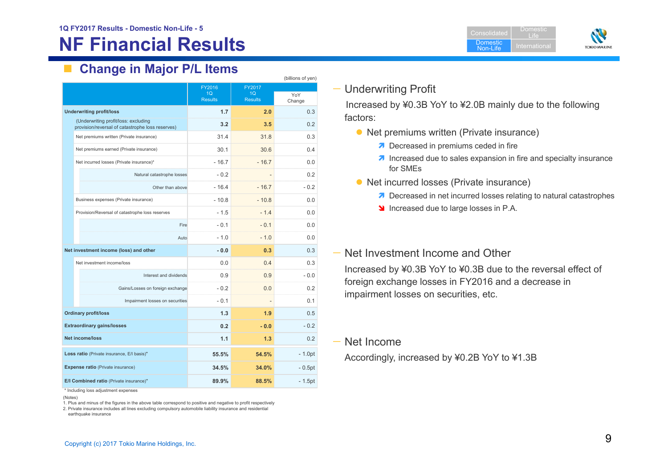# **NF Financial Results**

Domestic Non-LifeDomesticLifeInternational



# **Change in Major P/L Items**

| (billions of yen)                                                                        |                |                |               |  |
|------------------------------------------------------------------------------------------|----------------|----------------|---------------|--|
|                                                                                          | FY2016         | FY2017         |               |  |
|                                                                                          | 1Q             | 1Q             | YoY           |  |
|                                                                                          | <b>Results</b> | <b>Results</b> | Change        |  |
| <b>Underwriting profit/loss</b>                                                          | 1.7            | 2.0            | 0.3           |  |
| (Underwriting profit/loss: excluding<br>provision/reversal of catastrophe loss reserves) | 3.2            | 3.5            | 0.2           |  |
| Net premiums written (Private insurance)                                                 | 31.4           | 31.8           | 0.3           |  |
| Net premiums earned (Private insurance)                                                  | 30.1           | 30.6           | 0.4           |  |
| Net incurred losses (Private insurance)*                                                 | $-167$         | $-167$         | 0 Q           |  |
| Natural catastrophe losses                                                               | $-0.2$         |                | 02            |  |
| Other than above                                                                         | $-16.4$        | $-167$         | $-0.2$        |  |
| Business expenses (Private insurance)                                                    | $-10.8$        | $-10.8$        | 0.0           |  |
| Provision/Reversal of catastrophe loss reserves                                          | $-1.5$         | $-1.4$         | 0.0           |  |
| Fire                                                                                     | $-0.1$         | $-0.1$         | 0.0           |  |
| Auto                                                                                     | $-1.0$         | $-1.0$         | 0.0           |  |
| Net investment income (loss) and other                                                   | $-0.0$         | 0.3            | 0.3           |  |
| Net investment income/loss                                                               | 0.0            | 0.4            | 0.3           |  |
| Interest and dividends                                                                   | 0.9            | 0.9            | $-0.0$        |  |
| Gains/Losses on foreign exchange                                                         | $-0.2$         | 0.0            | 0.2           |  |
| Impairment losses on securities                                                          | $-0.1$         |                | 0.1           |  |
| <b>Ordinary profit/loss</b>                                                              | 1.3            | 1.9            | 0.5           |  |
| <b>Extraordinary gains/losses</b>                                                        | 0.2            | $-0.0$         | $-0.2$        |  |
| <b>Net income/loss</b>                                                                   | 1.1            | 1.3            | $0.2^{\circ}$ |  |
| Loss ratio (Private insurance, E/I basis)*                                               | 55.5%          | 54.5%          | $-1.0pt$      |  |
| <b>Expense ratio (Private insurance)</b>                                                 | 34.5%          | 34.0%          | $-0.5pt$      |  |
| E/I Combined ratio (Private insurance)*                                                  | 89.9%          | 88.5%          | $-1.5pt$      |  |

\* Including loss adjustment expenses

(Notes)

1. Plus and minus of the figures in the above table correspond to positive and negative to profit respectively

2. Private insurance includes all lines excluding compulsory automobile liability insurance and residential

earthquake insurance

#### — Underwriting Profit

Increased by ¥0.3B YoY to ¥2.0B mainly due to the following factors:

- Net premiums written (Private insurance)
	- **7** Decreased in premiums ceded in fire
	- **1** Increased due to sales expansion in fire and specialty insurance for SMEs
- Net incurred losses (Private insurance)
	- **7** Decreased in net incurred losses relating to natural catastrophes
	- Increased due to large losses in P.A.

#### — Net Investment Income and Other

Increased by ¥0.3B YoY to ¥0.3B due to the reversal effect of foreign exchange losses in FY2016 and a decrease in impairment losses on securities, etc.

— Net Income

Accordingly, increased by ¥0.2B YoY to ¥1.3B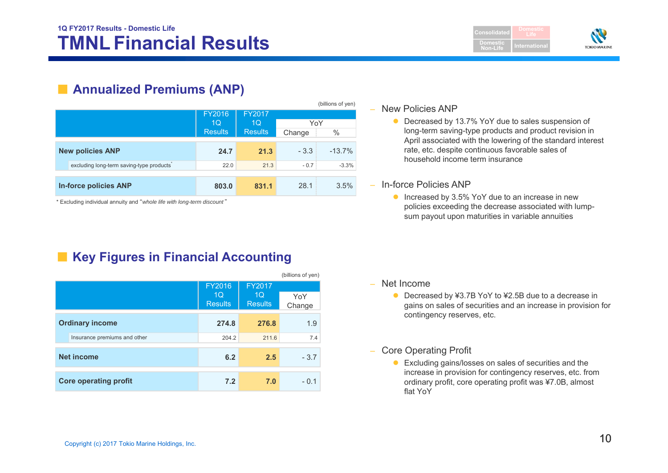**Consolidated Domestic Non-LifeLife**



## ■ **Annualized Premiums (ANP)**

|                              |                                          |                |                |        | (billions of yen) |
|------------------------------|------------------------------------------|----------------|----------------|--------|-------------------|
|                              |                                          | FY2016         | FY2017         |        |                   |
|                              |                                          | 1Q             | 1Q             | YoY    |                   |
|                              |                                          | <b>Results</b> | <b>Results</b> | Change | $\%$              |
| <b>New policies ANP</b>      |                                          | 24.7           | 21.3           | $-3.3$ | $-13.7%$          |
|                              | excluding long-term saving-type products | 22.0           | 21.3           | $-0.7$ | $-3.3%$           |
|                              |                                          |                |                |        |                   |
| <b>In-force policies ANP</b> |                                          | 803.0          | 831.1          | 28.1   | 3.5%              |

\* Excluding individual annuity and "*whole life with long-term discount* "

# ■ Key Figures in Financial Accounting

|                              |                                            |                                | (billions of yen) |
|------------------------------|--------------------------------------------|--------------------------------|-------------------|
|                              | FY2016<br>1 <sub>O</sub><br><b>Results</b> | FY2017<br>1Q<br><b>Results</b> | YoY<br>Change     |
| <b>Ordinary income</b>       | 274.8                                      | 276.8                          | 1.9               |
| Insurance premiums and other | 204.2                                      | 211.6                          | 7.4               |
| Net income                   | 6.2                                        | 2.5                            | $-3.7$            |
| <b>Core operating profit</b> | 7.2                                        | 7.0                            | $-0.1$            |

#### –New Policies ANP

- Decreased by 13.7% YoY due to sales suspension of long-term saving-type products and product revision in April associated with the lowering of the standard interest rate, etc. despite continuous favorable sales of household income term insurance
- In-force Policies ANP
	- Increased by 3.5% YoY due to an increase in new policies exceeding the decrease associated with lumpsum payout upon maturities in variable annuities

- Net Income
	- Decreased by ¥3.7B YoY to ¥2.5B due to a decrease in gains on sales of securities and an increase in provision for contingency reserves, etc.
- Core Operating Profit
	- Excluding gains/losses on sales of securities and the increase in provision for contingency reserves, etc. from ordinary profit, core operating profit was ¥7.0B, almost flat YoY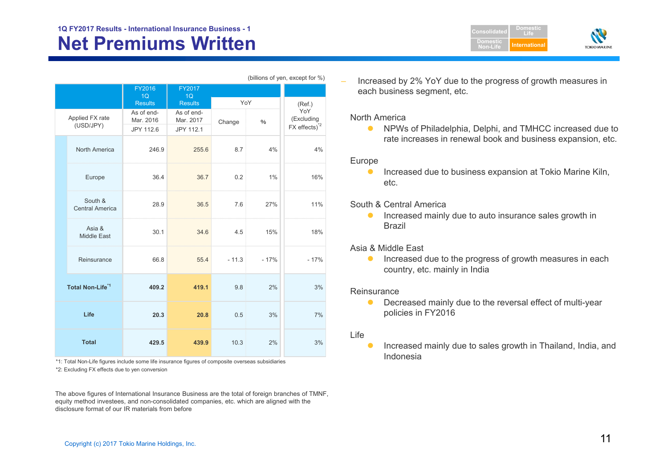|                              |                                   | FY2016<br>1 <sub>O</sub>             | FY2017<br>1Q                         |         |        |                                         |
|------------------------------|-----------------------------------|--------------------------------------|--------------------------------------|---------|--------|-----------------------------------------|
|                              |                                   | <b>Results</b>                       | <b>Results</b>                       | YoY     |        | (Ref.)                                  |
|                              | Applied FX rate<br>(USD/JPY)      | As of end-<br>Mar. 2016<br>JPY 112.6 | As of end-<br>Mar. 2017<br>JPY 112.1 | Change  | %      | YoY<br>(Excluding<br>$FX$ effects) $^2$ |
|                              | North America                     | 246.9                                | 255.6                                | 8.7     | 4%     | 4%                                      |
|                              | Europe                            | 36.4                                 | 36.7                                 | 0.2     | 1%     | 16%                                     |
|                              | South &<br><b>Central America</b> | 28.9                                 | 36.5                                 | 7.6     | 27%    | 11%                                     |
|                              | Asia &<br><b>Middle East</b>      | 30.1                                 | 34.6                                 | 4.5     | 15%    | 18%                                     |
|                              | Reinsurance                       | 66.8                                 | 55.4                                 | $-11.3$ | $-17%$ | $-17%$                                  |
| Total Non-Life <sup>*1</sup> |                                   | 409.2                                | 419.1                                | 9.8     | 2%     | 3%                                      |
|                              | Life                              | 20.3                                 | 20.8                                 | 0.5     | 3%     | 7%                                      |
|                              | <b>Total</b>                      | 429.5                                | 439.9                                | 10.3    | 2%     | 3%                                      |

(billions of yen, except for %)

 Increased by 2% YoY due to the progress of growth measures in each business segment, etc.

**Domestic Non-Life**

**DomesticLifeInternational**

**TOKIO MARINE** 

#### North America

 $\bullet$  NPWs of Philadelphia, Delphi, and TMHCC increased due to rate increases in renewal book and business expansion, etc.

#### Europe

 $\bullet$  Increased due to business expansion at Tokio Marine Kiln, etc.

#### South & Central America

 $\bullet$  Increased mainly due to auto insurance sales growth in Brazil

#### Asia & Middle East

 $\bullet$  Increased due to the progress of growth measures in each country, etc. mainly in India

#### Reinsurance

 $\bullet$  Decreased mainly due to the reversal effect of multi-year policies in FY2016

#### Life

 $\bullet$  Increased mainly due to sales growth in Thailand, India, and Indonesia

\*2: Excluding FX effects due to yen conversion \*1: Total Non-Life figures include some life insurance figures of composite overseas subsidiaries

The above figures of International Insurance Business are the total of foreign branches of TMNF, equity method investees, and non-consolidated companies, etc. which are aligned with the disclosure format of our IR materials from before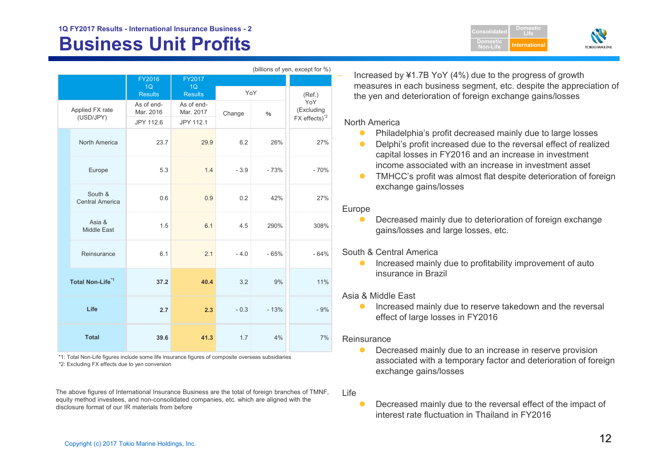#### **Business Unit Profits Alternational Second Profits Alternational Profits International 1Q FY2017 Results - International Insurance Business - 2**

| (billions of yen, except for %) |                                   |                         |                         |        |        |                    |  |
|---------------------------------|-----------------------------------|-------------------------|-------------------------|--------|--------|--------------------|--|
|                                 |                                   | FY2016                  | FY2017                  |        |        |                    |  |
|                                 |                                   | 1Q<br><b>Results</b>    | 1Q<br><b>Results</b>    | YoY    | (Ref.) |                    |  |
|                                 | Applied FX rate<br>(USD/JPY)      | As of end-<br>Mar. 2016 | As of end-<br>Mar. 2017 | Change | $\%$   | YoY<br>(Excluding  |  |
|                                 |                                   | JPY 112.6               | JPY 112.1               |        |        | $FX$ effects) $^2$ |  |
|                                 | North America                     | 23.7                    | 29.9                    | 6.2    | 26%    | 27%                |  |
|                                 | Europe                            | 5.3                     | 1.4                     | $-3.9$ | $-73%$ | $-70%$             |  |
|                                 | South &<br><b>Central America</b> | 0.6                     | 0.9                     | 0.2    | 42%    | 27%                |  |
|                                 | Asia &<br><b>Middle East</b>      | 1.5                     | 6.1                     | 4.5    | 290%   | 308%               |  |
|                                 | Reinsurance                       | 6.1                     | 2.1                     | $-4.0$ | $-65%$ | $-64%$             |  |
|                                 | Total Non-Life <sup>*1</sup>      | 37.2                    | 40.4                    | 3.2    | 9%     | 11%                |  |
|                                 | Life                              | 2.7                     | 2.3                     | $-0.3$ | $-13%$ | $-9%$              |  |
|                                 | <b>Total</b>                      | 39.6                    | 41.3                    | 1.7    | 4%     | 7%                 |  |

\*2: Excluding FX effects due to yen conversion \*1: Total Non-Life figures include some life insurance figures of composite overseas subsidiaries

The above figures of International Insurance Business are the total of foreign branches of TMNF, equity method investees, and non-consolidated companies, etc. which are aligned with the disclosure format of our IR materials from before

 Increased by ¥1.7B YoY (4%) due to the progress of growth measures in each business segment, etc. despite the appreciation of the yen and deterioration of foreign exchange gains/losses

**ConsolidatedDomesticNon-Life**

**DomesticLife**

**TOKIOMARINI** 

#### North America

- $\bullet$ Philadelphia's profit decreased mainly due to large losses
- $\bullet$  Delphi's profit increased due to the reversal effect of realized capital losses in FY2016 and an increase in investment income associated with an increase in investment asset
- $\bullet$  TMHCC's profit was almost flat despite deterioration of foreign exchange gains/losses

#### Europe

 $\bullet$  Decreased mainly due to deterioration of foreign exchange gains/losses and large losses, etc.

#### South & Central America

 $\bullet$  Increased mainly due to profitability improvement of auto insurance in Brazil

#### Asia & Middle East

 $\bullet$  Increased mainly due to reserve takedown and the reversal effect of large losses in FY2016

#### **Reinsurance**

- $\bullet$  Decreased mainly due to an increase in reserve provision associated with a temporary factor and deterioration of foreign exchange gains/losses
- Life
	- $\bullet$  Decreased mainly due to the reversal effect of the impact of interest rate fluctuation in Thailand in FY2016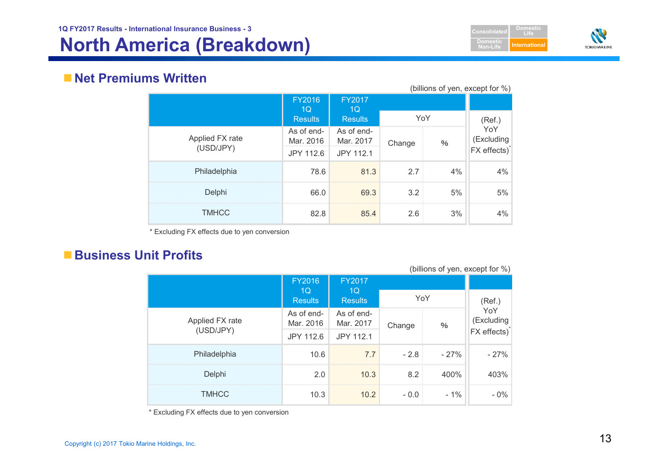



### **Net Premiums Written**

| (billions of yen, except for %) |                         |                         |        |      |                                             |  |
|---------------------------------|-------------------------|-------------------------|--------|------|---------------------------------------------|--|
|                                 | FY2016<br>1Q            | <b>FY2017</b><br>1Q     |        |      |                                             |  |
|                                 | <b>Results</b>          | <b>Results</b>          | YoY    |      | (Ref.)                                      |  |
| Applied FX rate<br>(USD/JPY)    | As of end-<br>Mar. 2016 | As of end-<br>Mar. 2017 | Change | $\%$ | YoY<br>(Excluding                           |  |
|                                 | JPY 112.6               | JPY 112.1               |        |      | $\overrightarrow{FX}$ effects) <sup>*</sup> |  |
| Philadelphia                    | 78.6                    | 81.3                    | 27     | 4%   | 4%                                          |  |
| Delphi                          | 66.0                    | 69.3                    | 3.2    | 5%   | 5%                                          |  |
| <b>TMHCC</b>                    | 82.8                    | 85.4                    | 2.6    | 3%   | 4%                                          |  |

\* Excluding FX effects due to yen conversion

### **Business Unit Profits**

| (DIIIIUITS UL YEIT, EXUEPL IUL 70) |                         |                         |        |        |                          |  |
|------------------------------------|-------------------------|-------------------------|--------|--------|--------------------------|--|
|                                    | <b>FY2016</b><br>1Q     | <b>FY2017</b><br>10     |        |        |                          |  |
|                                    | <b>Results</b>          | <b>Results</b>          | YoY    |        | (Ref.)<br>YoY            |  |
| Applied FX rate                    | As of end-<br>Mar. 2016 | As of end-<br>Mar. 2017 | Change | %      | (Excluding               |  |
| (USD/JPY)                          | JPY 112.6               | JPY 112.1               |        |        | FX effects) <sup>*</sup> |  |
| Philadelphia                       | 10.6                    | 7.7                     | $-2.8$ | $-27%$ | $-27%$                   |  |
| Delphi                             | 2.0                     | 10.3                    | 8.2    | 400%   | 403%                     |  |
| <b>TMHCC</b>                       | 10.3                    | 10.2                    | $-0.0$ | $-1\%$ | $-0\%$                   |  |

 $(hillione of von event for  $0/2$ )$ 

\* Excluding FX effects due to yen conversion